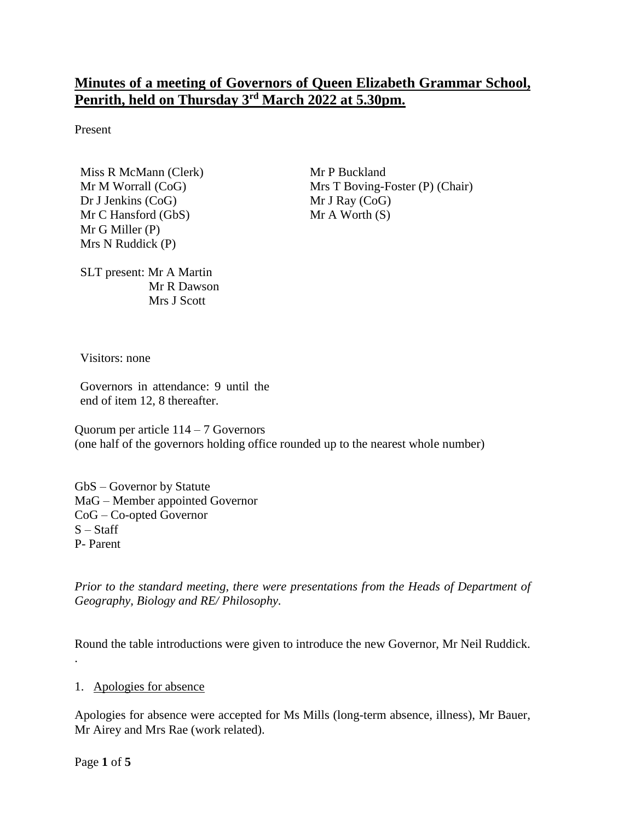# **Minutes of a meeting of Governors of Queen Elizabeth Grammar School, Penrith, held on Thursday 3 rd March 2022 at 5.30pm.**

Present

Miss R McMann (Clerk) Mr M Worrall (CoG) Dr J Jenkins (CoG) Mr C Hansford (GbS) Mr G Miller (P) Mrs N Ruddick (P)

Mr P Buckland Mrs T Boving-Foster (P) (Chair) Mr J Ray (CoG)  $Mr A Worth (S)$ 

SLT present: Mr A Martin Mr R Dawson Mrs J Scott

Visitors: none

Governors in attendance: 9 until the end of item 12, 8 thereafter.

Quorum per article 114 – 7 Governors (one half of the governors holding office rounded up to the nearest whole number)

GbS – Governor by Statute MaG – Member appointed Governor CoG – Co-opted Governor  $S - Staff$ P- Parent

*Prior to the standard meeting, there were presentations from the Heads of Department of Geography, Biology and RE/ Philosophy.* 

Round the table introductions were given to introduce the new Governor, Mr Neil Ruddick.

1. Apologies for absence

Apologies for absence were accepted for Ms Mills (long-term absence, illness), Mr Bauer, Mr Airey and Mrs Rae (work related).

Page **1** of **5**

.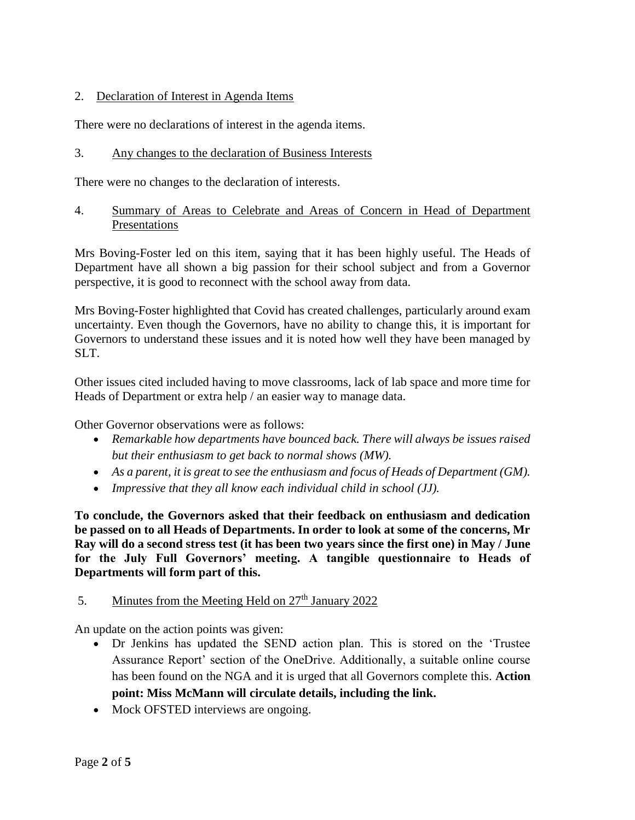#### 2. Declaration of Interest in Agenda Items

There were no declarations of interest in the agenda items.

#### 3. Any changes to the declaration of Business Interests

There were no changes to the declaration of interests.

4. Summary of Areas to Celebrate and Areas of Concern in Head of Department Presentations

Mrs Boving-Foster led on this item, saying that it has been highly useful. The Heads of Department have all shown a big passion for their school subject and from a Governor perspective, it is good to reconnect with the school away from data.

Mrs Boving-Foster highlighted that Covid has created challenges, particularly around exam uncertainty. Even though the Governors, have no ability to change this, it is important for Governors to understand these issues and it is noted how well they have been managed by SLT.

Other issues cited included having to move classrooms, lack of lab space and more time for Heads of Department or extra help / an easier way to manage data.

Other Governor observations were as follows:

- *Remarkable how departments have bounced back. There will always be issues raised but their enthusiasm to get back to normal shows (MW).*
- *As a parent, it is great to see the enthusiasm and focus of Heads of Department (GM).*
- *Impressive that they all know each individual child in school (JJ).*

**To conclude, the Governors asked that their feedback on enthusiasm and dedication be passed on to all Heads of Departments. In order to look at some of the concerns, Mr Ray will do a second stress test (it has been two years since the first one) in May / June for the July Full Governors' meeting. A tangible questionnaire to Heads of Departments will form part of this.**

#### 5. Minutes from the Meeting Held on  $27<sup>th</sup>$  January 2022

An update on the action points was given:

- Dr Jenkins has updated the SEND action plan. This is stored on the 'Trustee Assurance Report' section of the OneDrive. Additionally, a suitable online course has been found on the NGA and it is urged that all Governors complete this. **Action point: Miss McMann will circulate details, including the link.**
- Mock OFSTED interviews are ongoing.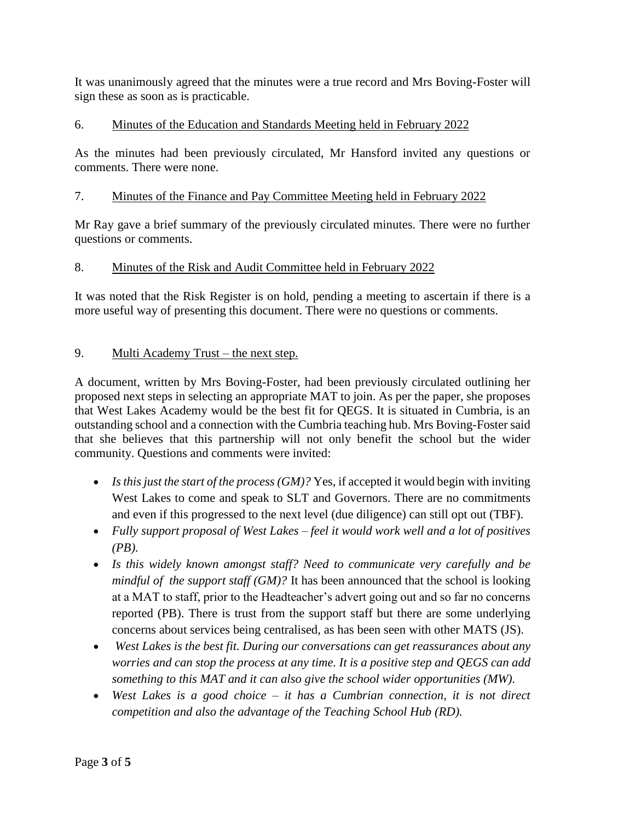It was unanimously agreed that the minutes were a true record and Mrs Boving-Foster will sign these as soon as is practicable.

# 6. Minutes of the Education and Standards Meeting held in February 2022

As the minutes had been previously circulated, Mr Hansford invited any questions or comments. There were none.

# 7. Minutes of the Finance and Pay Committee Meeting held in February 2022

Mr Ray gave a brief summary of the previously circulated minutes. There were no further questions or comments.

# 8. Minutes of the Risk and Audit Committee held in February 2022

It was noted that the Risk Register is on hold, pending a meeting to ascertain if there is a more useful way of presenting this document. There were no questions or comments.

# 9. Multi Academy Trust – the next step.

A document, written by Mrs Boving-Foster, had been previously circulated outlining her proposed next steps in selecting an appropriate MAT to join. As per the paper, she proposes that West Lakes Academy would be the best fit for QEGS. It is situated in Cumbria, is an outstanding school and a connection with the Cumbria teaching hub. Mrs Boving-Foster said that she believes that this partnership will not only benefit the school but the wider community. Questions and comments were invited:

- *Is this just the start of the process (GM)?* Yes, if accepted it would begin with inviting West Lakes to come and speak to SLT and Governors. There are no commitments and even if this progressed to the next level (due diligence) can still opt out (TBF).
- *Fully support proposal of West Lakes – feel it would work well and a lot of positives (PB).*
- *Is this widely known amongst staff? Need to communicate very carefully and be mindful of the support staff (GM)?* It has been announced that the school is looking at a MAT to staff, prior to the Headteacher's advert going out and so far no concerns reported (PB). There is trust from the support staff but there are some underlying concerns about services being centralised, as has been seen with other MATS (JS).
- *West Lakes is the best fit. During our conversations can get reassurances about any worries and can stop the process at any time. It is a positive step and QEGS can add something to this MAT and it can also give the school wider opportunities (MW).*
- *West Lakes is a good choice – it has a Cumbrian connection, it is not direct competition and also the advantage of the Teaching School Hub (RD).*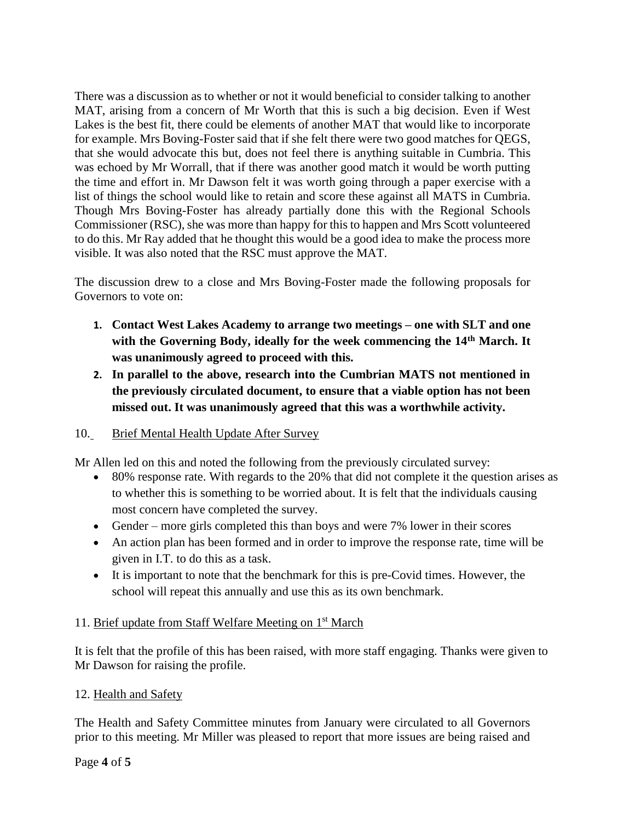There was a discussion as to whether or not it would beneficial to consider talking to another MAT, arising from a concern of Mr Worth that this is such a big decision. Even if West Lakes is the best fit, there could be elements of another MAT that would like to incorporate for example. Mrs Boving-Foster said that if she felt there were two good matches for QEGS, that she would advocate this but, does not feel there is anything suitable in Cumbria. This was echoed by Mr Worrall, that if there was another good match it would be worth putting the time and effort in. Mr Dawson felt it was worth going through a paper exercise with a list of things the school would like to retain and score these against all MATS in Cumbria. Though Mrs Boving-Foster has already partially done this with the Regional Schools Commissioner (RSC), she was more than happy for this to happen and Mrs Scott volunteered to do this. Mr Ray added that he thought this would be a good idea to make the process more visible. It was also noted that the RSC must approve the MAT.

The discussion drew to a close and Mrs Boving-Foster made the following proposals for Governors to vote on:

- **1. Contact West Lakes Academy to arrange two meetings – one with SLT and one with the Governing Body, ideally for the week commencing the 14th March. It was unanimously agreed to proceed with this.**
- **2. In parallel to the above, research into the Cumbrian MATS not mentioned in the previously circulated document, to ensure that a viable option has not been missed out. It was unanimously agreed that this was a worthwhile activity.**

#### 10. Brief Mental Health Update After Survey

Mr Allen led on this and noted the following from the previously circulated survey:

- 80% response rate. With regards to the 20% that did not complete it the question arises as to whether this is something to be worried about. It is felt that the individuals causing most concern have completed the survey.
- Gender more girls completed this than boys and were 7% lower in their scores
- An action plan has been formed and in order to improve the response rate, time will be given in I.T. to do this as a task.
- It is important to note that the benchmark for this is pre-Covid times. However, the school will repeat this annually and use this as its own benchmark.

#### 11. Brief update from Staff Welfare Meeting on 1<sup>st</sup> March

It is felt that the profile of this has been raised, with more staff engaging. Thanks were given to Mr Dawson for raising the profile.

#### 12. Health and Safety

The Health and Safety Committee minutes from January were circulated to all Governors prior to this meeting. Mr Miller was pleased to report that more issues are being raised and